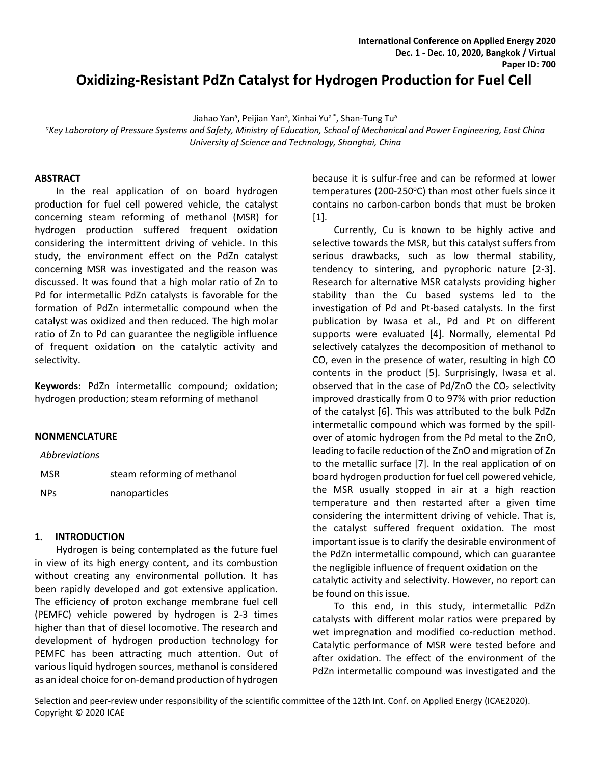# **Oxidizing-Resistant PdZn Catalyst for Hydrogen Production for Fuel Cell**

Jiahao Yan<sup>a</sup>, Peijian Yan<sup>a</sup>, Xinhai Yu<sup>a\*</sup>, Shan-Tung Tu<sup>a</sup>

*a Key Laboratory of Pressure Systems and Safety, Ministry of Education, School of Mechanical and Power Engineering, East China University of Science and Technology, Shanghai, China*

#### **ABSTRACT**

In the real application of on board hydrogen production for fuel cell powered vehicle, the catalyst concerning steam reforming of methanol (MSR) for hydrogen production suffered frequent oxidation considering the intermittent driving of vehicle. In this study, the environment effect on the PdZn catalyst concerning MSR was investigated and the reason was discussed. It was found that a high molar ratio of Zn to Pd for intermetallic PdZn catalysts is favorable for the formation of PdZn intermetallic compound when the catalyst was oxidized and then reduced. The high molar ratio of Zn to Pd can guarantee the negligible influence of frequent oxidation on the catalytic activity and selectivity.

**Keywords:** PdZn intermetallic compound; oxidation; hydrogen production; steam reforming of methanol

#### **NONMENCLATURE**

| <i>Abbreviations</i> |                             |
|----------------------|-----------------------------|
| <b>MSR</b>           | steam reforming of methanol |
| <b>NPs</b>           | nanoparticles               |

#### **1. INTRODUCTION**

Hydrogen is being contemplated as the future fuel in view of its high energy content, and its combustion without creating any environmental pollution. It has been rapidly developed and got extensive application. The efficiency of proton exchange membrane fuel cell (PEMFC) vehicle powered by hydrogen is 2-3 times higher than that of diesel locomotive. The research and development of hydrogen production technology for PEMFC has been attracting much attention. Out of various liquid hydrogen sources, methanol is considered as an ideal choice for on-demand production of hydrogen because it is sulfur-free and can be reformed at lower temperatures (200-250°C) than most other fuels since it contains no carbon-carbon bonds that must be broken [1].

Currently, Cu is known to be highly active and selective towards the MSR, but this catalyst suffers from serious drawbacks, such as low thermal stability, tendency to sintering, and pyrophoric nature [2-3]. Research for alternative MSR catalysts providing higher stability than the Cu based systems led to the investigation of Pd and Pt-based catalysts. In the first publication by Iwasa et al., Pd and Pt on different supports were evaluated [4]. Normally, elemental Pd selectively catalyzes the decomposition of methanol to CO, even in the presence of water, resulting in high CO contents in the product [5]. Surprisingly, Iwasa et al. observed that in the case of  $Pd/ZnO$  the  $CO<sub>2</sub>$  selectivity improved drastically from 0 to 97% with prior reduction of the catalyst [6]. This was attributed to the bulk PdZn intermetallic compound which was formed by the spillover of atomic hydrogen from the Pd metal to the ZnO, leading to facile reduction of the ZnO and migration of Zn to the metallic surface [7]. In the real application of on board hydrogen production for fuel cell powered vehicle, the MSR usually stopped in air at a high reaction temperature and then restarted after a given time considering the intermittent driving of vehicle. That is, the catalyst suffered frequent oxidation. The most important issue is to clarify the desirable environment of the PdZn intermetallic compound, which can guarantee the negligible influence of frequent oxidation on the catalytic activity and selectivity. However, no report can be found on this issue.

To this end, in this study, intermetallic PdZn catalysts with different molar ratios were prepared by wet impregnation and modified co-reduction method. Catalytic performance of MSR were tested before and after oxidation. The effect of the environment of the PdZn intermetallic compound was investigated and the

Selection and peer-review under responsibility of the scientific committee of the 12th Int. Conf. on Applied Energy (ICAE2020). Copyright © 2020 ICAE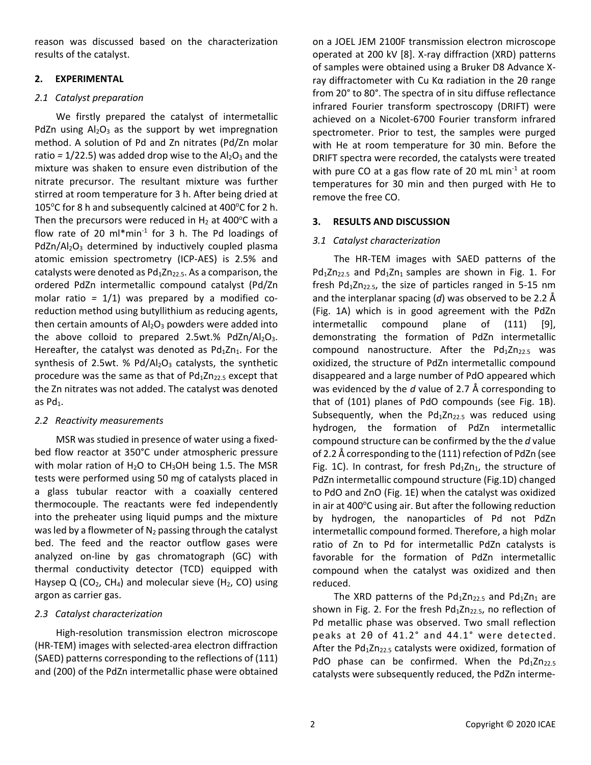reason was discussed based on the characterization results of the catalyst.

### **2. EXPERIMENTAL**

# *2.1 Catalyst preparation*

We firstly prepared the catalyst of intermetallic PdZn using  $Al_2O_3$  as the support by wet impregnation method. A solution of Pd and Zn nitrates (Pd/Zn molar ratio  $= 1/22.5$ ) was added drop wise to the  $Al_2O_3$  and the mixture was shaken to ensure even distribution of the nitrate precursor. The resultant mixture was further stirred at room temperature for 3 h. After being dried at 105°C for 8 h and subsequently calcined at 400°C for 2 h. Then the precursors were reduced in  $H_2$  at 400 $^{\circ}$ C with a flow rate of 20  $ml*min<sup>-1</sup>$  for 3 h. The Pd loadings of  $PdZn/Al_2O_3$  determined by inductively coupled plasma atomic emission spectrometry (ICP-AES) is 2.5% and catalysts were denoted as  $Pd_1Zn_{22}$ , As a comparison, the ordered PdZn intermetallic compound catalyst (Pd/Zn molar ratio *=* 1/1) was prepared by a modified coreduction method using butyllithium as reducing agents, then certain amounts of  $Al_2O_3$  powders were added into the above colloid to prepared 2.5wt.% PdZn/Al<sub>2</sub>O<sub>3</sub>. Hereafter, the catalyst was denoted as  $Pd_1Zn_1$ . For the synthesis of 2.5wt. %  $Pd/Al_2O_3$  catalysts, the synthetic procedure was the same as that of  $Pd_1Zn_{22.5}$  except that the Zn nitrates was not added. The catalyst was denoted as  $Pd_1$ .

# *2.2 Reactivity measurements*

MSR was studied in presence of water using a fixedbed flow reactor at 350°C under atmospheric pressure with molar ration of  $H_2O$  to CH<sub>3</sub>OH being 1.5. The MSR tests were performed using 50 mg of catalysts placed in a glass tubular reactor with a coaxially centered thermocouple. The reactants were fed independently into the preheater using liquid pumps and the mixture was led by a flowmeter of  $N_2$  passing through the catalyst bed. The feed and the reactor outflow gases were analyzed on-line by [gas chromatograph](http://www.baidu.com/link?url=Ju17CYEntqyHLG0yz_tqM2mQy1ljlbSNkTP63PjwKM7N97dI2CZWQh1JpWLviJBJlqWQvtVOK5qByRZ2F_xXv-zpmDy30Ux_BggLN5uQXYNCYpDVp4VjnnnXfyQZikI_) (GC) with thermal conductivity detector (TCD) equipped with Haysep Q (CO<sub>2</sub>, CH<sub>4</sub>) and molecular sieve (H<sub>2</sub>, CO) using argon as carrier gas.

# *2.3 Catalyst characterization*

High-resolution transmission electron microscope (HR-TEM) images with selected-area electron diffraction (SAED) patterns corresponding to the reflections of (111) and (200) of the PdZn intermetallic phase were obtained

on a JOEL JEM 2100F transmission electron microscope operated at 200 kV [8]. X-ray diffraction (XRD) patterns of samples were obtained using a Bruker D8 Advance Xray diffractometer with Cu Kα radiation in the 2θ range from 20° to 80°. The spectra of in situ diffuse reflectance infrared Fourier transform spectroscopy (DRIFT) were achieved on a Nicolet-6700 Fourier transform infrared spectrometer. Prior to test, the samples were purged with He at room temperature for 30 min. Before the DRIFT spectra were recorded, the catalysts were treated with pure CO at a gas flow rate of 20 mL min $^{-1}$  at room temperatures for 30 min and then purged with He to remove the free CO.

# **3. RESULTS AND DISCUSSION**

### *3.1 Catalyst characterization*

The HR-TEM images with SAED patterns of the  $Pd_1Zn_{225}$  and  $Pd_1Zn_1$  samples are shown in Fig. 1. For fresh Pd $12n_{22.5}$ , the size of particles ranged in 5-15 nm and the interplanar spacing (*d*) was observed to be 2.2 Å (Fig. 1A) which is in good agreement with the PdZn intermetallic compound plane of (111) [9], demonstrating the formation of PdZn intermetallic compound nanostructure. After the  $Pd_1Zn_{22.5}$  was oxidized, the structure of PdZn intermetallic compound disappeared and a large number of PdO appeared which was evidenced by the *d* value of 2.7 Å corresponding to that of (101) planes of PdO compounds (see Fig. 1B). Subsequently, when the  $Pd_1Zn_{22.5}$  was reduced using hydrogen, the formation of PdZn intermetallic compound structure can be confirmed by the the *d* value of 2.2 Å corresponding to the (111) refection of PdZn (see Fig. 1C). In contrast, for fresh  $Pd_1Zn_1$ , the structure of PdZn intermetallic compound structure (Fig.1D) changed to PdO and ZnO (Fig. 1E) when the catalyst was oxidized in air at 400°C using air. But after the following reduction by hydrogen, the nanoparticles of Pd not PdZn intermetallic compound formed. Therefore, a high molar ratio of Zn to Pd for intermetallic PdZn catalysts is favorable for the formation of PdZn intermetallic compound when the catalyst was oxidized and then reduced.

The XRD patterns of the  $Pd_1Zn_{22.5}$  and  $Pd_1Zn_1$  are shown in Fig. 2. For the fresh  $Pd_1Zn_{22.5}$ , no reflection of Pd metallic phase was observed. Two small reflection peaks at 2θ of 41.2° and 44.1° were detected. After the  $Pd_1Zn_{22.5}$  catalysts were oxidized, formation of PdO phase can be confirmed. When the  $Pd_1Zn_{22.5}$ catalysts were subsequently reduced, the PdZn interme-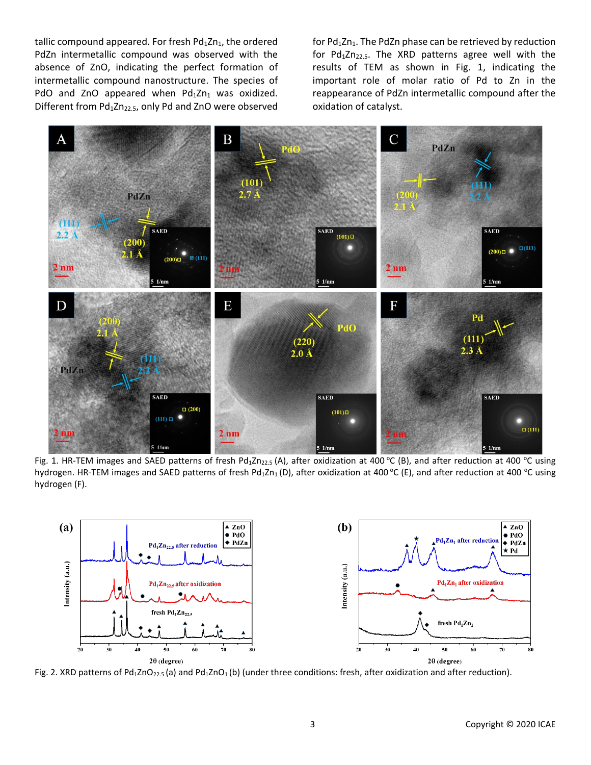tallic compound appeared. For fresh  $Pd_1Zn_1$ , the ordered PdZn intermetallic compound was observed with the absence of ZnO, indicating the perfect formation of intermetallic compound nanostructure. The species of PdO and ZnO appeared when  $Pd_1Zn_1$  was oxidized. Different from  $Pd_1Zn_{22.5}$ , only Pd and ZnO were observed

for  $Pd_1Zn_1$ . The PdZn phase can be retrieved by reduction for  $Pd_1Zn_{22.5}$ . The XRD patterns agree well with the results of TEM as shown in Fig. 1, indicating the important role of molar ratio of Pd to Zn in the reappearance of PdZn intermetallic compound after the oxidation of catalyst.



Fig. 1. HR-TEM images and SAED patterns of fresh Pd<sub>1</sub>Zn<sub>22.5</sub> (A), after oxidization at 400 °C (B), and after reduction at 400 °C using hydrogen. HR-TEM images and SAED patterns of fresh Pd<sub>1</sub>Zn<sub>1</sub> (D), after oxidization at 400 °C (E), and after reduction at 400 °C using hydrogen (F).



Fig. 2. XRD patterns of Pd<sub>1</sub>ZnO<sub>22.5</sub> (a) and Pd<sub>1</sub>ZnO<sub>1</sub> (b) (under three conditions: fresh, after oxidization and after reduction).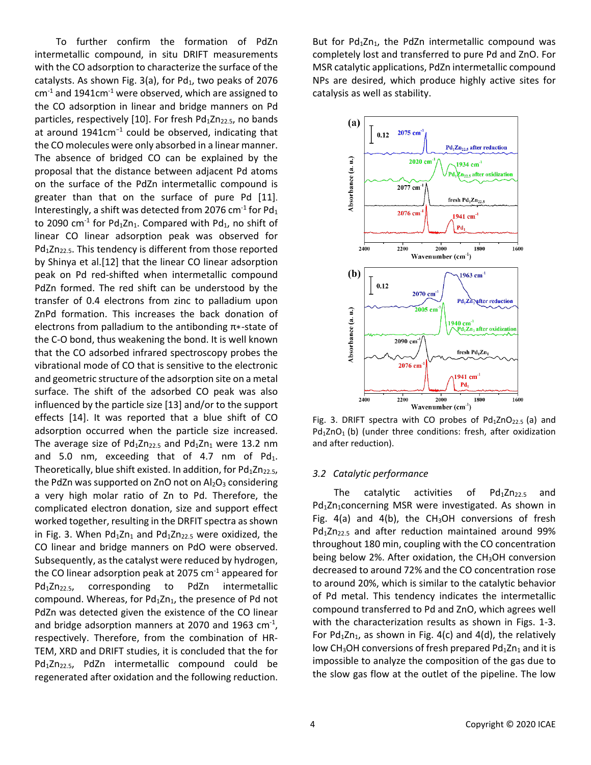To further confirm the formation of PdZn intermetallic compound, in situ DRIFT measurements with the CO adsorption to characterize the surface of the catalysts. As shown Fig. 3(a), for  $Pd_1$ , two peaks of 2076 cm*-*<sup>1</sup> and 1941cm*-*<sup>1</sup> were observed, which are assigned to the CO adsorption in linear and bridge manners on Pd particles, respectively [10]. For fresh  $Pd_1Zn_{22.5}$ , no bands at around 1941cm<sup>−</sup><sup>1</sup> could be observed, indicating that the CO molecules were only absorbed in a linear manner. The absence of bridged CO can be explained by the proposal that the distance between adjacent Pd atoms on the surface of the PdZn intermetallic compound is greater than that on the surface of pure Pd [11]. Interestingly, a shift was detected from 2076 cm<sup>-1</sup> for Pd<sub>1</sub> to 2090 cm<sup>-1</sup> for Pd<sub>1</sub>Zn<sub>1</sub>. Compared with Pd<sub>1</sub>, no shift of linear CO linear adsorption peak was observed for Pd<sub>1</sub>Zn<sub>22.5</sub>. This tendency is different from those reported by Shinya et al.[12] that the linear CO linear adsorption peak on Pd red-shifted when intermetallic compound PdZn formed. The red shift can be understood by the transfer of 0.4 electrons from zinc to palladium upon ZnPd formation. This increases the back donation of electrons from palladium to the antibonding  $\pi$ \*-state of the C-O bond, thus weakening the bond. It is well known that the CO adsorbed infrared spectroscopy probes the vibrational mode of CO that is sensitive to the electronic and geometric structure of the adsorption site on a metal surface. The shift of the adsorbed CO peak was also influenced by the particle size [13] and/or to the support effects [14]. It was reported that a blue shift of CO adsorption occurred when the particle size increased. The average size of  $Pd_1Zn_{22.5}$  and  $Pd_1Zn_1$  were 13.2 nm and 5.0 nm, exceeding that of 4.7 nm of  $Pd_1$ . Theoretically, blue shift existed. In addition, for  $Pd_1Zn_{22.5}$ , the PdZn was supported on ZnO not on  $Al_2O_3$  considering a very high molar ratio of Zn to Pd. Therefore, the complicated electron donation, size and support effect worked together, resulting in the DRFIT spectra as shown in Fig. 3. When  $Pd_1Zn_1$  and  $Pd_1Zn_{22.5}$  were oxidized, the CO linear and bridge manners on PdO were observed. Subsequently, as the catalyst were reduced by hydrogen, the CO linear adsorption peak at 2075  $cm<sup>-1</sup>$  appeared for Pd<sub>1</sub>Zn<sub>22.5</sub>, corresponding to PdZn intermetallic compound. Whereas, for  $Pd_1Zn_1$ , the presence of Pd not PdZn was detected given the existence of the CO linear and bridge adsorption manners at 2070 and 1963 cm<sup>-1</sup>, respectively. Therefore, from the combination of HR-TEM, XRD and DRIFT studies, it is concluded that the for Pd<sub>1</sub>Zn<sub>22.5</sub>, PdZn intermetallic compound could be regenerated after oxidation and the following reduction.

But for  $Pd_1Zn_1$ , the PdZn intermetallic compound was completely lost and transferred to pure Pd and ZnO. For MSR catalytic applications, PdZn intermetallic compound NPs are desired, which produce highly active sites for catalysis as well as stability.



Fig. 3. DRIFT spectra with CO probes of  $Pd_1ZnO_{22.5}$  (a) and  $Pd_1ZnO_1$  (b) (under three conditions: fresh, after oxidization and after reduction).

#### *3.2 Catalytic performance*

The catalytic activities of  $Pd_1Zn_{22.5}$  and Pd<sub>1</sub>Zn<sub>1</sub>concerning MSR were investigated. As shown in Fig. 4(a) and 4(b), the  $CH<sub>3</sub>OH$  conversions of fresh  $Pd_1Zn_{22.5}$  and after reduction maintained around 99% throughout 180 min, coupling with the CO concentration being below 2%. After oxidation, the  $CH<sub>3</sub>OH$  conversion decreased to around 72% and the CO concentration rose to around 20%, which is similar to the catalytic behavior of Pd metal. This tendency indicates the intermetallic compound transferred to Pd and ZnO, which agrees well with the characterization results as shown in Figs. 1-3. For  $Pd_1Zn_1$ , as shown in Fig. 4(c) and 4(d), the relatively low CH<sub>3</sub>OH conversions of fresh prepared Pd $_1$ Zn<sub>1</sub> and it is impossible to analyze the composition of the gas due to the slow gas flow at the outlet of the pipeline. The low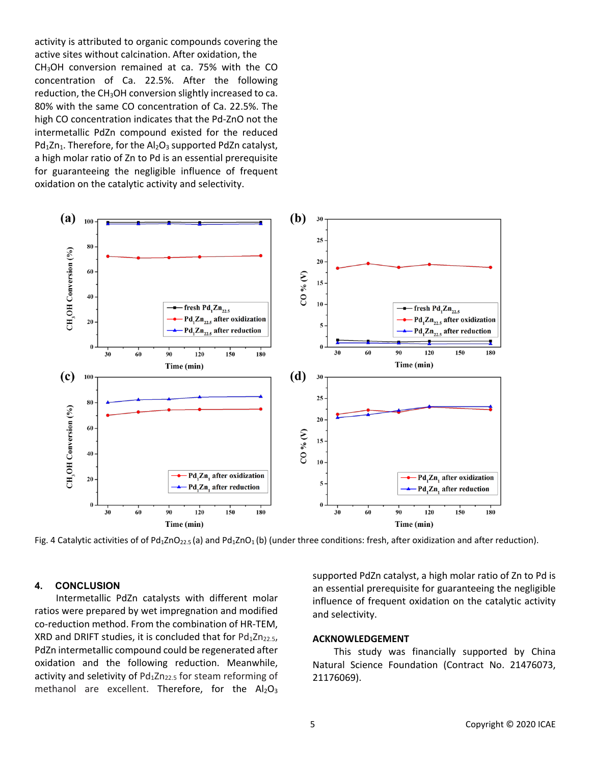activity is attributed to organic compounds covering the active sites without calcination. After oxidation, the CH3OH conversion remained at ca. 75% with the CO concentration of Ca. 22.5%. After the following reduction, the  $CH<sub>3</sub>OH$  conversion slightly increased to ca. 80% with the same CO concentration of Ca. 22.5%. The high CO concentration indicates that the Pd-ZnO not the intermetallic PdZn compound existed for the reduced  $Pd_1Zn_1$ . Therefore, for the  $Al_2O_3$  supported PdZn catalyst, a high molar ratio of Zn to Pd is an essential prerequisite for guaranteeing the negligible influence of frequent oxidation on the catalytic activity and selectivity.



Fig. 4 Catalytic activities of of Pd<sub>1</sub>ZnO<sub>22.5</sub> (a) and Pd<sub>1</sub>ZnO<sub>1</sub> (b) (under three conditions: fresh, after oxidization and after reduction).

### **4. CONCLUSION**

Intermetallic PdZn catalysts with different molar ratios were prepared by wet impregnation and modified co-reduction method. From the combination of HR-TEM, XRD and DRIFT studies, it is concluded that for  $Pd_1Zn_{22.5}$ , PdZn intermetallic compound could be regenerated after oxidation and the following reduction. Meanwhile, activity and seletivity of  $Pd_1Zn_{22.5}$  for steam reforming of methanol are excellent. Therefore, for the  $Al_2O_3$  supported PdZn catalyst, a high molar ratio of Zn to Pd is an essential prerequisite for guaranteeing the negligible influence of frequent oxidation on the catalytic activity and selectivity.

#### **ACKNOWLEDGEMENT**

This study was financially supported by China Natural Science Foundation (Contract No. 21476073, 21176069).